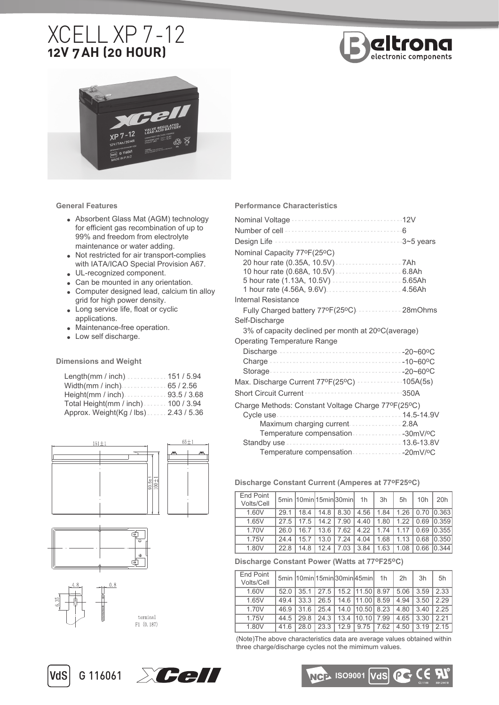# XCELL XP 7 -12 **12V 7 AH (20 HOUR)**





**General Features** 

- Absorbent Glass Mat (AGM) technology for efficient gas recombination of up to 99% and freedom from electrolyte maintenance or water adding.
- Not restricted for air transport-complies with IATA/ICAO Special Provision A67.
- UL-recognized component.
- Can be mounted in any orientation.
- Computer designed lead, calcium tin alloy grid for high power density.
- Long service life, float or cyclic applications.
- Maintenance-free operation.
- Low self discharge.

**Dimensions and Weight**

| Length(mm / inch)151 / 5.94           |  |
|---------------------------------------|--|
|                                       |  |
|                                       |  |
| Total Height(mm / inch). 100 / 3.94   |  |
| Approx. Weight (Kg / lbs) 2.43 / 5.36 |  |



### **Performance Characteristics**

| Nominal Capacity 77ºF(25°C)                        |      |
|----------------------------------------------------|------|
|                                                    |      |
|                                                    |      |
|                                                    |      |
| 1 hour rate (4.56A, 9.6V)  4.56Ah                  |      |
| Internal Resistance                                |      |
| Fully Charged battery 77ºF(25ºC)  28mOhms          |      |
| Self-Discharge                                     |      |
| 3% of capacity declined per month at 20°C(average) |      |
| <b>Operating Temperature Range</b>                 |      |
|                                                    |      |
|                                                    |      |
|                                                    |      |
| Max. Discharge Current 77ºF(25ºC) 105A(5s)         |      |
|                                                    | 350A |
| Charge Methods: Constant Voltage Charge 77ºF(25ºC) |      |
|                                                    |      |
| Maximum charging current 2.8A                      |      |
| Temperature compensation 30mV/ºC                   |      |
|                                                    |      |
| Temperature compensation 20mV/ºC                   |      |

#### **Discharge Constant Current (Amperes at 77oF25oC)**

| End Point<br>Volts/Cell |      | 5min  10min 15min 30min |      |      | 1 <sub>h</sub> | 3h   | 5h   | 10h  | 20h   |
|-------------------------|------|-------------------------|------|------|----------------|------|------|------|-------|
| 1.60V                   | 29 1 | 18.4                    | 14.8 | 8.30 | 4.56           | 1.84 | 1.26 | 0.70 | 0.363 |
| 1.65V                   | 27.5 | 17.5                    | 14.2 | 7.90 | 4.40           | 1.80 | 1.22 | 0.69 | 0.359 |
| 1.70V                   | 26.0 | 16.7                    | 13.6 | 7.62 | 4.22           | 1.74 | 1.17 | 0.69 | 0.355 |
| 1.75V                   | 244  | 15.7                    | 13.0 | 7.24 | 4.04           | 1.68 | 1.13 | 0.68 | 0.350 |
| 1.80V                   | 228  | 148                     | 124  | 7.03 | 3.84           | 1.63 | 1.08 | 0.66 | 0.344 |

#### **Discharge Constant Power (Watts at 77oF25oC)**

| End Point<br>Volts/Cell |      |      |      |      | 5min 10min 15min 30min 45min 1h |      | 2h   | 3h   | 5h    |
|-------------------------|------|------|------|------|---------------------------------|------|------|------|-------|
| 1.60V                   | 520  | 35.1 |      |      | 27.5   15.2   11.50   8.97      |      | 5.06 | 3.59 | 2.33  |
| 1.65V                   | 494  | 33.3 | 26.5 |      | 14.6 111.00 8.59                |      | 4.94 | 3.50 | 2.29  |
| 1.70V                   | 46.9 | 31.6 | 25.4 |      | 14.0 10.50 8.23                 |      | 4.80 | 340  | 2 2 5 |
| 1.75V                   | 44.5 | 298  | 24.3 | 13.4 | 110.10                          | 7.99 | 4.65 | 3.30 | 221   |
| 1.80V                   | 416  | 28.0 | 23.3 | 12.9 | 9.75                            | 7.62 | 4.50 | 3.19 | 215   |

(Note)The above characteristics data are average values obtained within three charge/discharge cycles not the mimimum values.